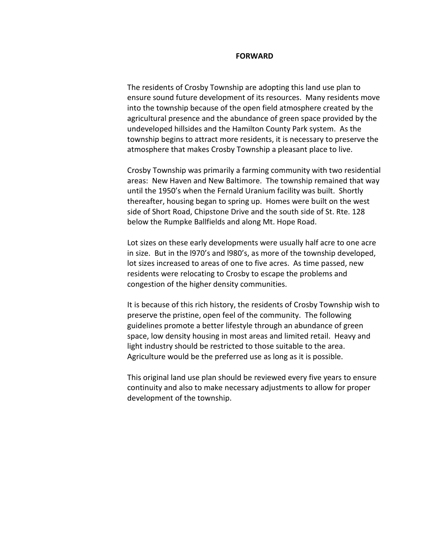#### **FORWARD**

The residents of Crosby Township are adopting this land use plan to ensure sound future development of its resources. Many residents move into the township because of the open field atmosphere created by the agricultural presence and the abundance of green space provided by the undeveloped hillsides and the Hamilton County Park system. As the township begins to attract more residents, it is necessary to preserve the atmosphere that makes Crosby Township a pleasant place to live.

Crosby Township was primarily a farming community with two residential areas: New Haven and New Baltimore. The township remained that way until the 1950's when the Fernald Uranium facility was built. Shortly thereafter, housing began to spring up. Homes were built on the west side of Short Road, Chipstone Drive and the south side of St. Rte. 128 below the Rumpke Ballfields and along Mt. Hope Road.

Lot sizes on these early developments were usually half acre to one acre in size. But in the l970's and l980's, as more of the township developed, lot sizes increased to areas of one to five acres. As time passed, new residents were relocating to Crosby to escape the problems and congestion of the higher density communities.

It is because of this rich history, the residents of Crosby Township wish to preserve the pristine, open feel of the community. The following guidelines promote a better lifestyle through an abundance of green space, low density housing in most areas and limited retail. Heavy and light industry should be restricted to those suitable to the area. Agriculture would be the preferred use as long as it is possible.

This original land use plan should be reviewed every five years to ensure continuity and also to make necessary adjustments to allow for proper development of the township.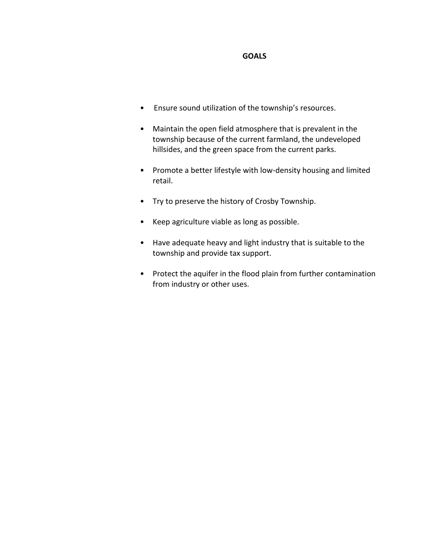## **GOALS**

- Ensure sound utilization of the township's resources.
- Maintain the open field atmosphere that is prevalent in the township because of the current farmland, the undeveloped hillsides, and the green space from the current parks.
- Promote a better lifestyle with low-density housing and limited retail.
- Try to preserve the history of Crosby Township.
- Keep agriculture viable as long as possible.
- Have adequate heavy and light industry that is suitable to the township and provide tax support.
- Protect the aquifer in the flood plain from further contamination from industry or other uses.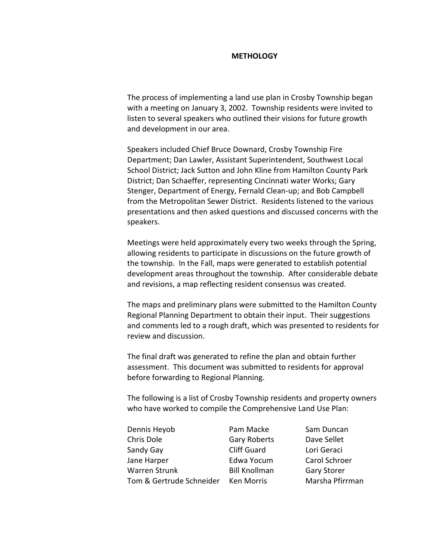### **METHOLOGY**

The process of implementing a land use plan in Crosby Township began with a meeting on January 3, 2002. Township residents were invited to listen to several speakers who outlined their visions for future growth and development in our area.

Speakers included Chief Bruce Downard, Crosby Township Fire Department; Dan Lawler, Assistant Superintendent, Southwest Local School District; Jack Sutton and John Kline from Hamilton County Park District; Dan Schaeffer, representing Cincinnati water Works; Gary Stenger, Department of Energy, Fernald Clean-up; and Bob Campbell from the Metropolitan Sewer District. Residents listened to the various presentations and then asked questions and discussed concerns with the speakers.

Meetings were held approximately every two weeks through the Spring, allowing residents to participate in discussions on the future growth of the township. In the Fall, maps were generated to establish potential development areas throughout the township. After considerable debate and revisions, a map reflecting resident consensus was created.

The maps and preliminary plans were submitted to the Hamilton County Regional Planning Department to obtain their input. Their suggestions and comments led to a rough draft, which was presented to residents for review and discussion.

The final draft was generated to refine the plan and obtain further assessment. This document was submitted to residents for approval before forwarding to Regional Planning.

The following is a list of Crosby Township residents and property owners who have worked to compile the Comprehensive Land Use Plan:

| Dennis Heyob             | Pam Macke            | Sam Duncan         |
|--------------------------|----------------------|--------------------|
| Chris Dole               | <b>Gary Roberts</b>  | Dave Sellet        |
| Sandy Gay                | <b>Cliff Guard</b>   | Lori Geraci        |
| Jane Harper              | Edwa Yocum           | Carol Schroer      |
| Warren Strunk            | <b>Bill Knollman</b> | <b>Gary Storer</b> |
| Tom & Gertrude Schneider | <b>Ken Morris</b>    | Marsha Pfirrman    |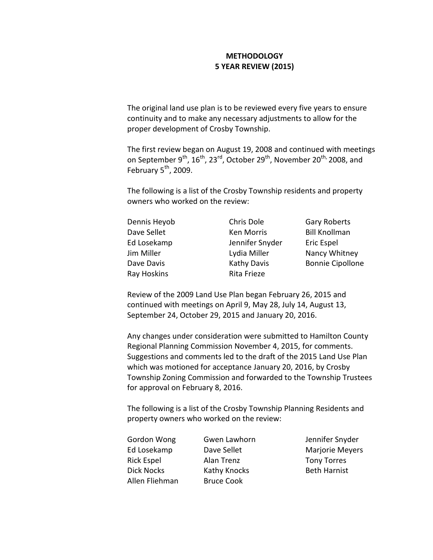# **METHODOLOGY 5 YEAR REVIEW (2015)**

The original land use plan is to be reviewed every five years to ensure continuity and to make any necessary adjustments to allow for the proper development of Crosby Township.

The first review began on August 19, 2008 and continued with meetings on September 9<sup>th</sup>,  $16^{th}$ , 23<sup>rd</sup>, October 29<sup>th</sup>, November 20<sup>th,</sup> 2008, and February  $5<sup>th</sup>$ , 2009.

The following is a list of the Crosby Township residents and property owners who worked on the review:

| Dennis Heyob | Chris Dole         | <b>Gary Roberts</b>     |
|--------------|--------------------|-------------------------|
| Dave Sellet  | <b>Ken Morris</b>  | <b>Bill Knollman</b>    |
| Ed Losekamp  | Jennifer Snyder    | <b>Eric Espel</b>       |
| Jim Miller   | Lydia Miller       | Nancy Whitney           |
| Dave Davis   | <b>Kathy Davis</b> | <b>Bonnie Cipollone</b> |
| Ray Hoskins  | Rita Frieze        |                         |

Review of the 2009 Land Use Plan began February 26, 2015 and continued with meetings on April 9, May 28, July 14, August 13, September 24, October 29, 2015 and January 20, 2016.

Any changes under consideration were submitted to Hamilton County Regional Planning Commission November 4, 2015, for comments. Suggestions and comments led to the draft of the 2015 Land Use Plan which was motioned for acceptance January 20, 2016, by Crosby Township Zoning Commission and forwarded to the Township Trustees for approval on February 8, 2016.

The following is a list of the Crosby Township Planning Residents and property owners who worked on the review:

| Gordon Wong       |  |
|-------------------|--|
| Ed Losekamp       |  |
| <b>Rick Espel</b> |  |
| <b>Dick Nocks</b> |  |
| Allen Fliehman    |  |

Alan Trenz Tony Torres Kathy Knocks Beth Harnist **Bruce Cook** 

Gwen Lawhorn Jennifer Snyder Dave Sellet Marjorie Meyers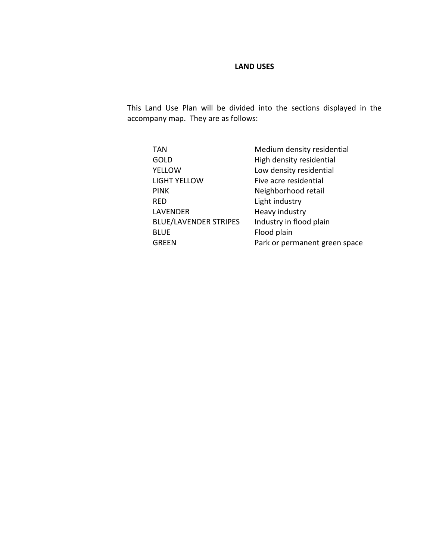# **LAND USES**

This Land Use Plan will be divided into the sections displayed in the accompany map. They are as follows:

| TAN                          | Medium density residential    |
|------------------------------|-------------------------------|
| <b>GOLD</b>                  | High density residential      |
| YELLOW                       | Low density residential       |
| <b>LIGHT YELLOW</b>          | Five acre residential         |
| <b>PINK</b>                  | Neighborhood retail           |
| RED                          | Light industry                |
| <b>LAVENDER</b>              | Heavy industry                |
| <b>BLUE/LAVENDER STRIPES</b> | Industry in flood plain       |
| <b>BLUE</b>                  | Flood plain                   |
| GREEN                        | Park or permanent green space |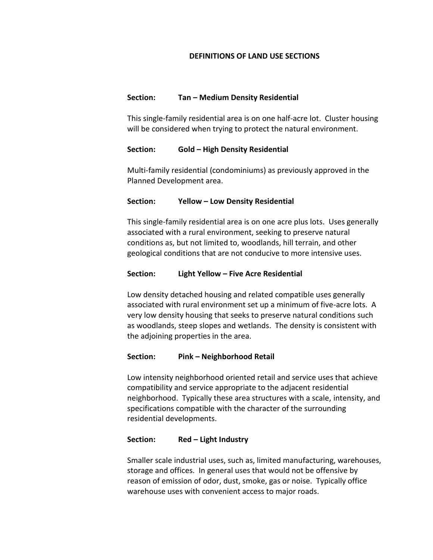## **DEFINITIONS OF LAND USE SECTIONS**

## **Section: Tan – Medium Density Residential**

This single-family residential area is on one half-acre lot. Cluster housing will be considered when trying to protect the natural environment.

## **Section: Gold – High Density Residential**

Multi-family residential (condominiums) as previously approved in the Planned Development area.

## **Section: Yellow – Low Density Residential**

This single-family residential area is on one acre plus lots. Uses generally associated with a rural environment, seeking to preserve natural conditions as, but not limited to, woodlands, hill terrain, and other geological conditions that are not conducive to more intensive uses.

## **Section: Light Yellow – Five Acre Residential**

Low density detached housing and related compatible uses generally associated with rural environment set up a minimum of five-acre lots. A very low density housing that seeks to preserve natural conditions such as woodlands, steep slopes and wetlands. The density is consistent with the adjoining properties in the area.

### **Section: Pink – Neighborhood Retail**

Low intensity neighborhood oriented retail and service uses that achieve compatibility and service appropriate to the adjacent residential neighborhood. Typically these area structures with a scale, intensity, and specifications compatible with the character of the surrounding residential developments.

## **Section: Red – Light Industry**

Smaller scale industrial uses, such as, limited manufacturing, warehouses, storage and offices. In general uses that would not be offensive by reason of emission of odor, dust, smoke, gas or noise. Typically office warehouse uses with convenient access to major roads.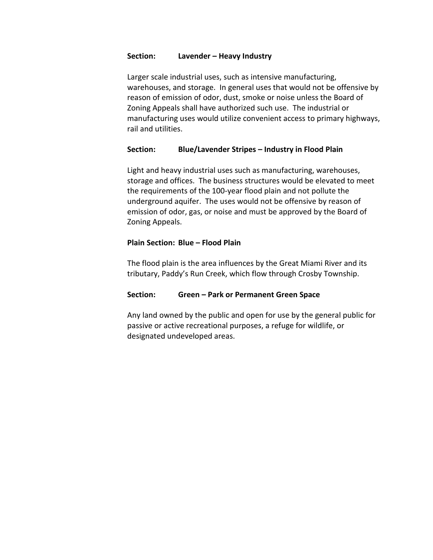### **Section: Lavender – Heavy Industry**

Larger scale industrial uses, such as intensive manufacturing, warehouses, and storage. In general uses that would not be offensive by reason of emission of odor, dust, smoke or noise unless the Board of Zoning Appeals shall have authorized such use. The industrial or manufacturing uses would utilize convenient access to primary highways, rail and utilities.

# **Section: Blue/Lavender Stripes – Industry in Flood Plain**

Light and heavy industrial uses such as manufacturing, warehouses, storage and offices. The business structures would be elevated to meet the requirements of the 100-year flood plain and not pollute the underground aquifer. The uses would not be offensive by reason of emission of odor, gas, or noise and must be approved by the Board of Zoning Appeals.

## **Plain Section: Blue – Flood Plain**

The flood plain is the area influences by the Great Miami River and its tributary, Paddy's Run Creek, which flow through Crosby Township.

# **Section: Green – Park or Permanent Green Space**

Any land owned by the public and open for use by the general public for passive or active recreational purposes, a refuge for wildlife, or designated undeveloped areas.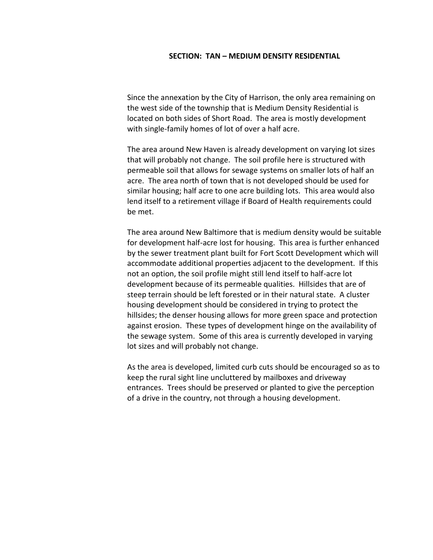#### **SECTION: TAN – MEDIUM DENSITY RESIDENTIAL**

Since the annexation by the City of Harrison, the only area remaining on the west side of the township that is Medium Density Residential is located on both sides of Short Road. The area is mostly development with single-family homes of lot of over a half acre.

The area around New Haven is already development on varying lot sizes that will probably not change. The soil profile here is structured with permeable soil that allows for sewage systems on smaller lots of half an acre. The area north of town that is not developed should be used for similar housing; half acre to one acre building lots. This area would also lend itself to a retirement village if Board of Health requirements could be met.

The area around New Baltimore that is medium density would be suitable for development half-acre lost for housing. This area is further enhanced by the sewer treatment plant built for Fort Scott Development which will accommodate additional properties adjacent to the development. If this not an option, the soil profile might still lend itself to half-acre lot development because of its permeable qualities. Hillsides that are of steep terrain should be left forested or in their natural state. A cluster housing development should be considered in trying to protect the hillsides; the denser housing allows for more green space and protection against erosion. These types of development hinge on the availability of the sewage system. Some of this area is currently developed in varying lot sizes and will probably not change.

As the area is developed, limited curb cuts should be encouraged so as to keep the rural sight line uncluttered by mailboxes and driveway entrances. Trees should be preserved or planted to give the perception of a drive in the country, not through a housing development.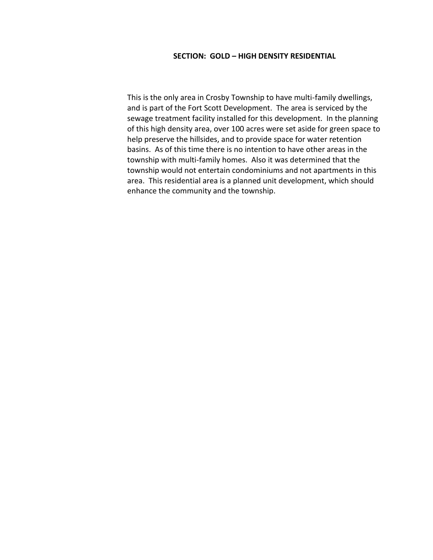### **SECTION: GOLD – HIGH DENSITY RESIDENTIAL**

This is the only area in Crosby Township to have multi-family dwellings, and is part of the Fort Scott Development. The area is serviced by the sewage treatment facility installed for this development. In the planning of this high density area, over 100 acres were set aside for green space to help preserve the hillsides, and to provide space for water retention basins. As of this time there is no intention to have other areas in the township with multi-family homes. Also it was determined that the township would not entertain condominiums and not apartments in this area. This residential area is a planned unit development, which should enhance the community and the township.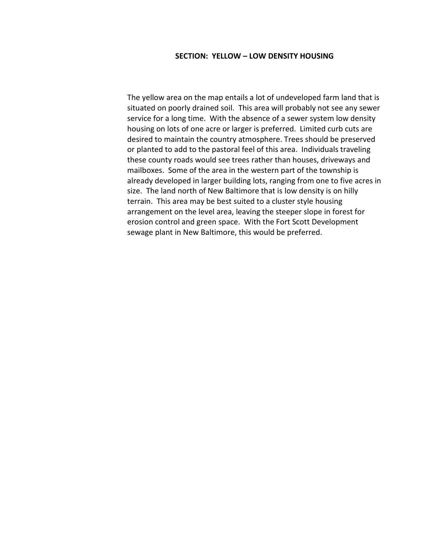#### **SECTION: YELLOW – LOW DENSITY HOUSING**

The yellow area on the map entails a lot of undeveloped farm land that is situated on poorly drained soil. This area will probably not see any sewer service for a long time. With the absence of a sewer system low density housing on lots of one acre or larger is preferred. Limited curb cuts are desired to maintain the country atmosphere. Trees should be preserved or planted to add to the pastoral feel of this area. Individuals traveling these county roads would see trees rather than houses, driveways and mailboxes. Some of the area in the western part of the township is already developed in larger building lots, ranging from one to five acres in size. The land north of New Baltimore that is low density is on hilly terrain. This area may be best suited to a cluster style housing arrangement on the level area, leaving the steeper slope in forest for erosion control and green space. With the Fort Scott Development sewage plant in New Baltimore, this would be preferred.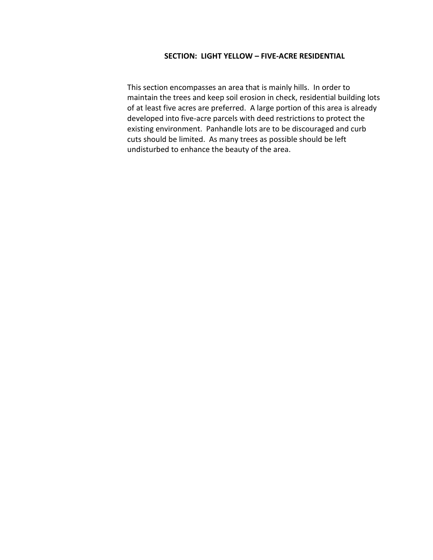### **SECTION: LIGHT YELLOW – FIVE-ACRE RESIDENTIAL**

This section encompasses an area that is mainly hills. In order to maintain the trees and keep soil erosion in check, residential building lots of at least five acres are preferred. A large portion of this area is already developed into five-acre parcels with deed restrictions to protect the existing environment. Panhandle lots are to be discouraged and curb cuts should be limited. As many trees as possible should be left undisturbed to enhance the beauty of the area.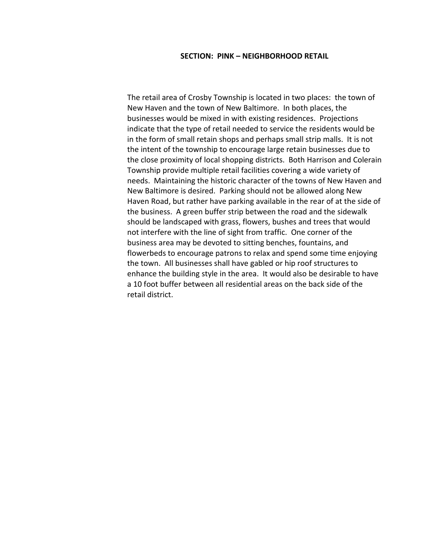#### **SECTION: PINK – NEIGHBORHOOD RETAIL**

The retail area of Crosby Township is located in two places: the town of New Haven and the town of New Baltimore. In both places, the businesses would be mixed in with existing residences. Projections indicate that the type of retail needed to service the residents would be in the form of small retain shops and perhaps small strip malls. It is not the intent of the township to encourage large retain businesses due to the close proximity of local shopping districts. Both Harrison and Colerain Township provide multiple retail facilities covering a wide variety of needs. Maintaining the historic character of the towns of New Haven and New Baltimore is desired. Parking should not be allowed along New Haven Road, but rather have parking available in the rear of at the side of the business. A green buffer strip between the road and the sidewalk should be landscaped with grass, flowers, bushes and trees that would not interfere with the line of sight from traffic. One corner of the business area may be devoted to sitting benches, fountains, and flowerbeds to encourage patrons to relax and spend some time enjoying the town. All businesses shall have gabled or hip roof structures to enhance the building style in the area. It would also be desirable to have a 10 foot buffer between all residential areas on the back side of the retail district.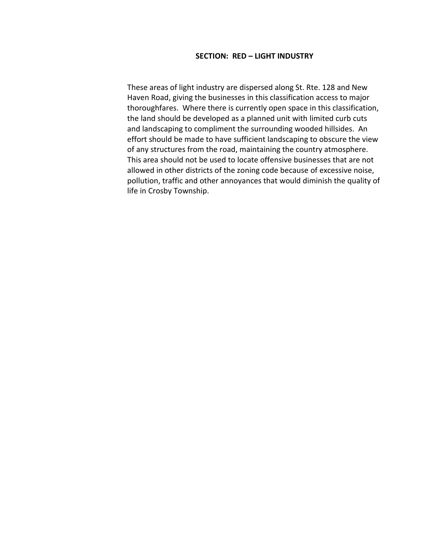#### **SECTION: RED – LIGHT INDUSTRY**

These areas of light industry are dispersed along St. Rte. 128 and New Haven Road, giving the businesses in this classification access to major thoroughfares. Where there is currently open space in this classification, the land should be developed as a planned unit with limited curb cuts and landscaping to compliment the surrounding wooded hillsides. An effort should be made to have sufficient landscaping to obscure the view of any structures from the road, maintaining the country atmosphere. This area should not be used to locate offensive businesses that are not allowed in other districts of the zoning code because of excessive noise, pollution, traffic and other annoyances that would diminish the quality of life in Crosby Township.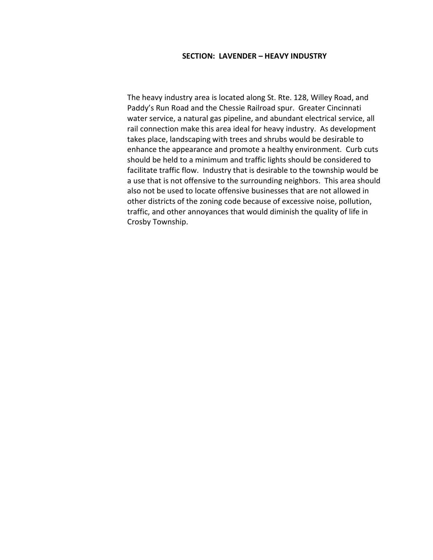#### **SECTION: LAVENDER – HEAVY INDUSTRY**

The heavy industry area is located along St. Rte. 128, Willey Road, and Paddy's Run Road and the Chessie Railroad spur. Greater Cincinnati water service, a natural gas pipeline, and abundant electrical service, all rail connection make this area ideal for heavy industry. As development takes place, landscaping with trees and shrubs would be desirable to enhance the appearance and promote a healthy environment. Curb cuts should be held to a minimum and traffic lights should be considered to facilitate traffic flow. Industry that is desirable to the township would be a use that is not offensive to the surrounding neighbors. This area should also not be used to locate offensive businesses that are not allowed in other districts of the zoning code because of excessive noise, pollution, traffic, and other annoyances that would diminish the quality of life in Crosby Township.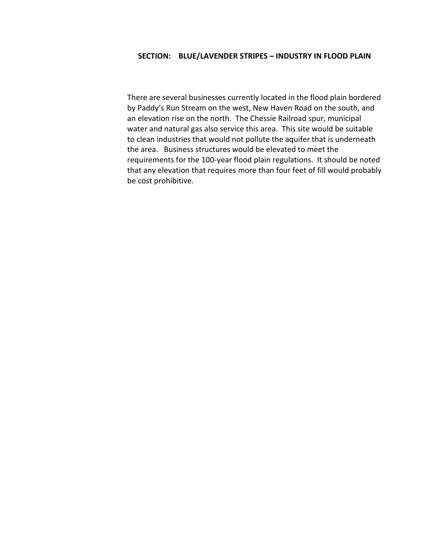### **SECTION: BLUE/LAVENDER STRIPES – INDUSTRY IN FLOOD PLAIN**

There are several businesses currently located in the flood plain bordered by Paddy's Run Stream on the west, New Haven Road on the south, and an elevation rise on the north. The Chessie Railroad spur, municipal water and natural gas also service this area. This site would be suitable to clean industries that would not pollute the aquifer that is underneath the area. Business structures would be elevated to meet the requirements for the 100-year flood plain regulations. It should be noted that any elevation that requires more than four feet of fill would probably be cost prohibitive.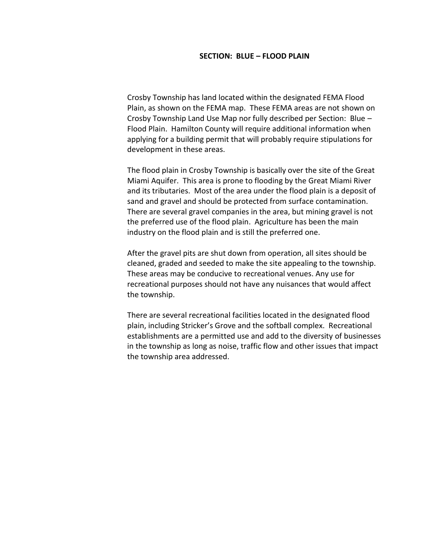#### **SECTION: BLUE – FLOOD PLAIN**

Crosby Township has land located within the designated FEMA Flood Plain, as shown on the FEMA map. These FEMA areas are not shown on Crosby Township Land Use Map nor fully described per Section: Blue – Flood Plain. Hamilton County will require additional information when applying for a building permit that will probably require stipulations for development in these areas.

The flood plain in Crosby Township is basically over the site of the Great Miami Aquifer. This area is prone to flooding by the Great Miami River and its tributaries. Most of the area under the flood plain is a deposit of sand and gravel and should be protected from surface contamination. There are several gravel companies in the area, but mining gravel is not the preferred use of the flood plain. Agriculture has been the main industry on the flood plain and is still the preferred one.

After the gravel pits are shut down from operation, all sites should be cleaned, graded and seeded to make the site appealing to the township. These areas may be conducive to recreational venues. Any use for recreational purposes should not have any nuisances that would affect the township.

There are several recreational facilities located in the designated flood plain, including Stricker's Grove and the softball complex. Recreational establishments are a permitted use and add to the diversity of businesses in the township as long as noise, traffic flow and other issues that impact the township area addressed.